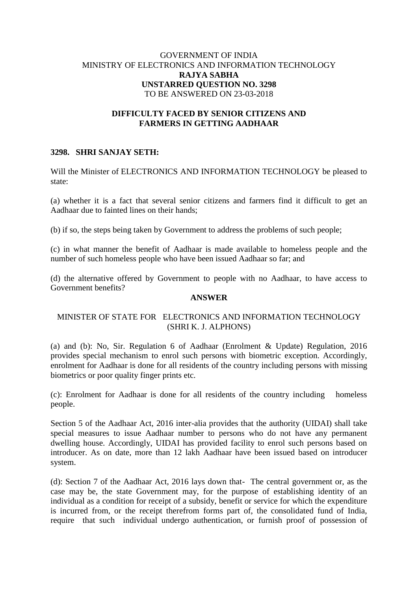# GOVERNMENT OF INDIA MINISTRY OF ELECTRONICS AND INFORMATION TECHNOLOGY **RAJYA SABHA UNSTARRED QUESTION NO. 3298** TO BE ANSWERED ON 23-03-2018

## **DIFFICULTY FACED BY SENIOR CITIZENS AND FARMERS IN GETTING AADHAAR**

# **3298. SHRI SANJAY SETH:**

Will the Minister of ELECTRONICS AND INFORMATION TECHNOLOGY be pleased to state:

(a) whether it is a fact that several senior citizens and farmers find it difficult to get an Aadhaar due to fainted lines on their hands;

(b) if so, the steps being taken by Government to address the problems of such people;

(c) in what manner the benefit of Aadhaar is made available to homeless people and the number of such homeless people who have been issued Aadhaar so far; and

(d) the alternative offered by Government to people with no Aadhaar, to have access to Government benefits?

# **ANSWER**

#### MINISTER OF STATE FOR ELECTRONICS AND INFORMATION TECHNOLOGY (SHRI K. J. ALPHONS)

(a) and (b): No, Sir. Regulation 6 of Aadhaar (Enrolment & Update) Regulation, 2016 provides special mechanism to enrol such persons with biometric exception. Accordingly, enrolment for Aadhaar is done for all residents of the country including persons with missing biometrics or poor quality finger prints etc.

(c): Enrolment for Aadhaar is done for all residents of the country including homeless people.

Section 5 of the Aadhaar Act, 2016 inter-alia provides that the authority (UIDAI) shall take special measures to issue Aadhaar number to persons who do not have any permanent dwelling house. Accordingly, UIDAI has provided facility to enrol such persons based on introducer. As on date, more than 12 lakh Aadhaar have been issued based on introducer system.

(d): Section 7 of the Aadhaar Act, 2016 lays down that- The central government or, as the case may be, the state Government may, for the purpose of establishing identity of an individual as a condition for receipt of a subsidy, benefit or service for which the expenditure is incurred from, or the receipt therefrom forms part of, the consolidated fund of India, require that such individual undergo authentication, or furnish proof of possession of